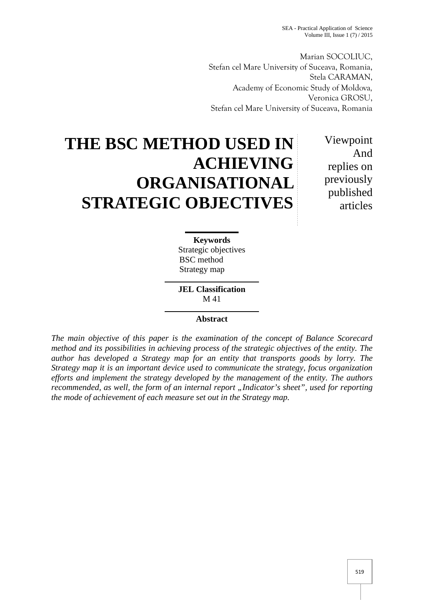SEA - Practical Application of Science Volume III, Issue  $1(7)/2015$ 

Marian SOCOLIUC, Stefan cel Mare University of Suceava, Romania, Stela CARAMAN, Academy of Economic Study of Moldova*,* Veronica GROSU, Stefan cel Mare University of Suceava, Romania

# **THE BSC METHOD USED IN ACHIEVING ORGANISATIONAL STRATEGIC OBJECTIVES**

Viewpoint And replies on previously published articles

**Keywords** Strategic objectives BSC method Strategy map

**JEL Classification** M 41

# **Abstract**

*The main objective of this paper is the examination of the concept of Balance Scorecard method and its possibilities in achieving process of the strategic objectives of the entity. The author has developed a Strategy map for an entity that transports goods by lorry. The Strategy map it is an important device used to communicate the strategy, focus organization efforts and implement the strategy developed by the management of the entity. The authors recommended, as well, the form of an internal report "Indicator's sheet", used for reporting the mode of achievement of each measure set out in the Strategy map.*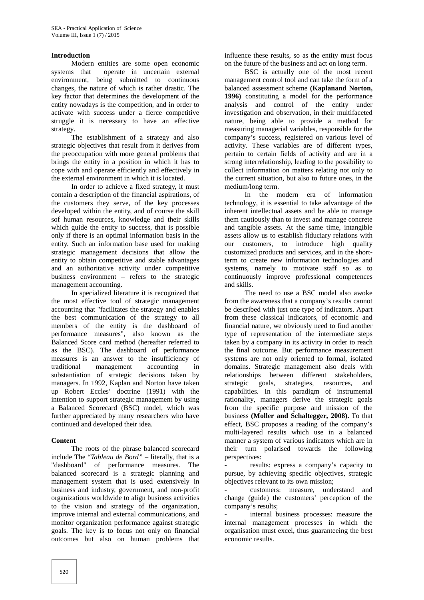### **Introduction**

Modern entities are some open economic systems that operate in uncertain external environment, being submitted to continuous changes, the nature of which is rather drastic. The key factor that determines the development of the entity nowadays is the competition, and in order to activate with success under a fierce competitive struggle it is necessary to have an effective strategy.<br>The establishment of a strategy and also

strategic objectives that result from it derives from the preoccupation with more general problems that brings the entity in a position in which it has to cope with and operate efficiently and effectively in the external environment in which it is located.

In order to achieve a fixed strategy, it must contain a description of the financial aspirations, of the customers they serve, of the key processes developed within the entity, and of course the skill sof human resources, knowledge and their skills which guide the entity to success, that is possible only if there is an optimal information basis in the entity. Such an information base used for making strategic management decisions that allow the entity to obtain competitive and stable advantages and an authoritative activity under competitive business environment – refers to the strategic management accounting.

In specialized literature it is recognized that the most effective tool of strategic management accounting that "facilitates the strategy and enables the best communication of the strategy to all members of the entity is the dashboard of performance measures", also known as the Balanced Score card method (hereafter referred to as the BSC). The dashboard of performance measures is an answer to the insufficiency of traditional management accounting in substantiation of strategic decisions taken by managers. In 1992, Kaplan and Norton have taken up Robert Eccles' doctrine (1991) with the intention to support strategic management by using a Balanced Scorecard (BSC) model, which was further appreciated by many researchers who have continued and developed their idea.

# **Content**

The roots of the phrase balanced scorecard include The "*Tableau de Bord"* – literally, that is a "dashboard" of performance measures. The balanced scorecard is a strategic planning and management system that is used extensively in business and industry, government, and non-profit organizations worldwide to align business activities to the vision and strategy of the organization, improve internal and external communications, and monitor organization performance against strategic goals. The key is to focus not only on financial outcomes but also on human problems that influence these results, so as the entity must focus on the future of the business and act on long term.

BSC is actually one of the most recent management control tool and can take the form of a balanced assessment scheme **(Kaplanand Norton, 1996)** constituting a model for the performance analysis and control of the entity under investigation and observation, in their multifaceted nature, being able to provide a method for measuring managerial variables, responsible for the company's success, registered on various level of activity. These variables are of different types, pertain to certain fields of activity and are in a strong interrelationship, leading to the possibility to collect information on matters relating not only to the current situation, but also to future ones, in the medium/long term.

In the modern era of information technology, it is essential to take advantage of the inherent intellectual assets and be able to manage them cautiously than to invest and manage concrete and tangible assets. At the same time, intangible assets allow us to establish fiduciary relations with customers, to introduce high quality customized products and services, and in the shortterm to create new information technologies and systems, namely to motivate staff so as to continuously improve professional competences and skills.

The need to use a BSC model also awoke from the awareness that a company's results cannot be described with just one type of indicators. Apart from these classical indicators, of economic and financial nature, we obviously need to find another type of representation of the intermediate steps taken by a company in its activity in order to reach the final outcome. But performance measurement systems are not only oriented to formal, isolated domains. Strategic management also deals with relationships between different stakeholders, strategic goals, strategies, resources, and capabilities. In this paradigm of instrumental rationality, managers derive the strategic goals from the specific purpose and mission of the business **(Moller and Schaltegger, 2008).** To that effect, BSC proposes a reading of the company's multi-layered results which use in a balanced manner a system of various indicators which are in their turn polarised towards the following perspectives:

results: express a company's capacity to pursue, by achieving specific objectives, strategic objectives relevant to its own mission;

customers: measure, understand and change (guide) the customers' perception of the company's results;

internal business processes: measure the internal management processes in which the organisation must excel, thus guaranteeing the best economic results.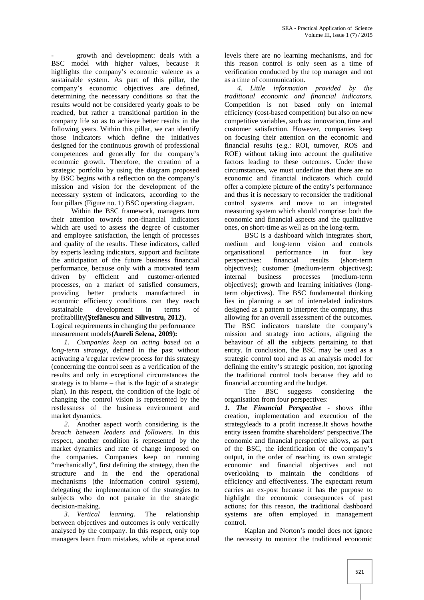growth and development: deals with a BSC model with higher values, because it highlights the company's economic valence as a sustainable system. As part of this pillar, the company's economic objectives are defined, determining the necessary conditions so that the results would not be considered yearly goals to be reached, but rather a transitional partition in the company life so as to achieve better results in the following years. Within this pillar, we can identify those indicators which define the initiatives designed for the continuous growth of professional competences and generally for the company's economic growth. Therefore, the creation of a strategic portfolio by using the diagram proposed by BSC begins with a reflection on the company's mission and vision for the development of the necessary system of indicators, according to the four pillars (Figure no. 1) BSC operating diagram.

Within the BSC framework, managers turn their attention towards non-financial indicators which are used to assess the degree of customer and employee satisfaction, the length of processes and quality of the results. These indicators, called by experts leading indicators, support and facilitate the anticipation of the future business financial performance, because only with a motivated team driven by efficient and customer-oriented internal processes, on a market of satisfied consumers, providing better products manufactured in economic efficiency conditions can they reach sustainable development in terms of profitability( **tef** nescu and Silivestru, 2012). Logical requirements in changing the performance measurement models**(Aureli Selena, 2009):**

*1. Companies keep on acting based on a long-term strategy*, defined in the past without activating a \regular review process for this strategy (concerning the control seen as a verification of the results and only in exceptional circumstances the strategy is to blame – that is the logic of a strategic plan). In this respect, the condition of the logic of changing the control vision is represented by the restlessness of the business environment and market dynamics.

*2.* Another aspect worth considering is the *breach between leaders and followers.* In this respect, another condition is represented by the market dynamics and rate of change imposed on the companies. Companies keep on running "mechanically", first defining the strategy, then the structure and in the end the operational mechanisms (the information control system), delegating the implementation of the strategies to subjects who do not partake in the strategic decision-making.

*3. Vertical learning.* The relationship between objectives and outcomes is only vertically analysed by the company. In this respect, only top managers learn from mistakes, while at operational

levels there are no learning mechanisms, and for this reason control is only seen as a time of verification conducted by the top manager and not as a time of communication.

*4. Little information provided by the traditional economic and financial indicators.* Competition is not based only on internal efficiency (cost-based competition) but also on new competitive variables, such as: innovation, time and customer satisfaction. However, companies keep on focusing their attention on the economic and financial results (e.g.: ROI, turnover, ROS and ROE) without taking into account the qualitative factors leading to these outcomes. Under these circumstances, we must underline that there are no economic and financial indicators which could offer a complete picture of the entity's performance and thus it is necessary to reconsider the traditional control systems and move to an integrated measuring system which should comprise: both the economic and financial aspects and the qualitative ones, on short-time as well as on the long-term.

BSC is a dashboard which integrates short, medium and long-term vision and controls organisational performance in four key perspectives: financial results (short-term objectives); customer (medium-term objectives);<br>internal business processes (medium-term business processes (medium-term objectives); growth and learning initiatives (longterm objectives). The BSC fundamental thinking lies in planning a set of interrelated indicators designed as a pattern to interpret the company, thus allowing for an overall assessment of the outcomes. The BSC indicators translate the company's mission and strategy into actions, aligning the behaviour of all the subjects pertaining to that entity. In conclusion, the BSC may be used as a strategic control tool and as an analysis model for defining the entity's strategic position, not ignoring the traditional control tools because they add to financial accounting and the budget.

The BSC suggests considering the organisation from four perspectives:

*1. The Financial Perspective -* shows ifthe creation, implementation and execution of the strategyleads to a profit increase.It shows howthe entity isseen fromthe shareholders' perspective.The economic and financial perspective allows, as part of the BSC, the identification of the company's output, in the order of reaching its own strategic economic and financial objectives and not overlooking to maintain the conditions of efficiency and effectiveness. The expectant return carries an ex-post because it has the purpose to highlight the economic consequences of past actions; for this reason, the traditional dashboard systems are often employed in management control.

Kaplan and Norton's model does not ignore the necessity to monitor the traditional economic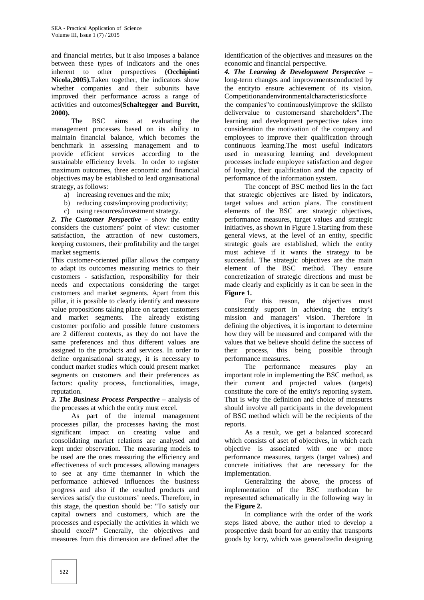and financial metrics, but it also imposes a balance between these types of indicators and the ones inherent to other perspectives **(Occhipinti Nicola,2005).**Taken together, the indicators show whether companies and their subunits have improved their performance across a range of activities and outcomes**(Schaltegger and Burritt, 2000).**

The BSC aims at evaluating the management processes based on its ability to maintain financial balance, which becomes the benchmark in assessing management and to provide efficient services according to the sustainable efficiency levels. In order to register maximum outcomes, three economic and financial objectives may be established to lead organisational strategy, as follows:

- a) increasing revenues and the mix;
- b) reducing costs/improving productivity;
- c) using resources/investment strategy.

*2. The Customer Perspective* – show the entity considers the customers' point of view: customer satisfaction, the attraction of new customers, keeping customers, their profitability and the target market segments.

This customer-oriented pillar allows the company to adapt its outcomes measuring metrics to their customers - satisfaction, responsibility for their needs and expectations considering the target customers and market segments. Apart from this pillar, it is possible to clearly identify and measure value propositions taking place on target customers and market segments. The already existing customer portfolio and possible future customers are 2 different contexts, as they do not have the same preferences and thus different values are assigned to the products and services. In order to define organisational strategy, it is necessary to conduct market studies which could present market segments on customers and their preferences as factors: quality process, functionalities, image, reputation.

*3. The Business Process Perspective* – analysis of the processes at which the entity must excel.

As part of the internal management processes pillar, the processes having the most significant impact on creating value and consolidating market relations are analysed and kept under observation. The measuring models to be used are the ones measuring the efficiency and effectiveness of such processes, allowing managers to see at any time themanner in which the performance achieved influences the business progress and also if the resulted products and services satisfy the customers' needs. Therefore, in this stage, the question should be: "To satisfy our capital owners and customers, which are the processes and especially the activities in which we should excel?" Generally, the objectives and measures from this dimension are defined after the

identification of the objectives and measures on the economic and financial perspective.

*4. The Learning & Development Perspective* – long-term changes and improvementsconducted by the entityto ensure achievement of its vision. Competitionandenvironmentalcharacteristicsforce the companies"to continuouslyimprove the skillsto delivervalue to customersand shareholders".The learning and development perspective takes into consideration the motivation of the company and employees to improve their qualification through continuous learning.The most useful indicators used in measuring learning and development processes include employee satisfaction and degree of loyalty, their qualification and the capacity of performance of the information system.

The concept of BSC method lies in the fact that strategic objectives are listed by indicators, target values and action plans. The constituent elements of the BSC are: strategic objectives, performance measures, target values and strategic initiatives, as shown in Figure 1.Starting from these general views, at the level of an entity, specific strategic goals are established, which the entity must achieve if it wants the strategy to be successful. The strategic objectives are the main element of the BSC method. They ensure concretization of strategic directions and must be made clearly and explicitly as it can be seen in the **Figure 1.**

For this reason, the objectives must consistently support in achieving the entity's mission and managers' vision. Therefore in defining the objectives, it is important to determine how they will be measured and compared with the values that we believe should define the success of their process, this being possible through performance measures.

The performance measures play an important role in implementing the BSC method, as their current and projected values (targets) constitute the core of the entity's reporting system. That is why the definition and choice of measures should involve all participants in the development of BSC method which will be the recipients of the reports.

As a result, we get a balanced scorecard which consists of aset of objectives, in which each objective is associated with one or more performance measures, targets (target values) and concrete initiatives that are necessary for the implementation.

Generalizing the above, the process of implementation of the BSC methodcan be represented schematically in the following way in the **Figure 2.**

In compliance with the order of the work steps listed above, the author tried to develop a prospective dash board for an entity that transports goods by lorry, which was generalizedin designing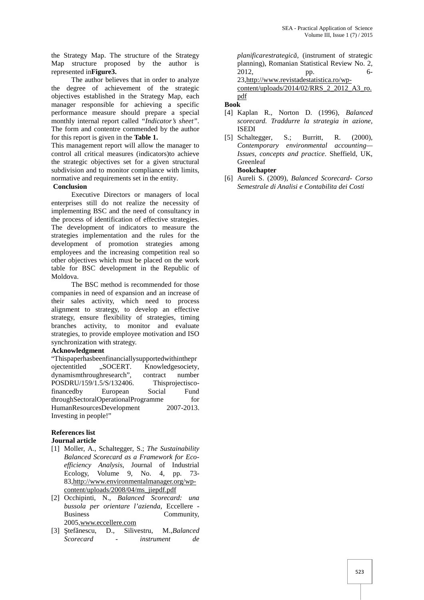the Strategy Map. The structure of the Strategy Map structure proposed by the author is represented in**Figure3.**

The author believes that in order to analyze the degree of achievement of the strategic objectives established in the Strategy Map, each manager responsible for achieving a specific performance measure should prepare a special monthly internal report called *"Indicator's sheet"*. The form and contentre commended by the author for this report is given in the **Table 1.**

This management report will allow the manager to control all critical measures (indicators)to achieve the strategic objectives set for a given structural subdivision and to monitor compliance with limits, normative and requirements set in the entity.

# **Conclusion**

Executive Directors or managers of local enterprises still do not realize the necessity of implementing BSC and the need of consultancy in the process of identification of effective strategies. The development of indicators to measure the strategies implementation and the rules for the development of promotion strategies among employees and the increasing competition real so other objectives which must be placed on the work table for BSC development in the Republic of Moldova.

The BSC method is recommended for those companies in need of expansion and an increase of their sales activity, which need to process alignment to strategy, to develop an effective strategy, ensure flexibility of strategies, timing branches activity, to monitor and evaluate strategies, to provide employee motivation and ISO synchronization with strategy.

# **Acknowledgment**

"Thispaperhasbeenfinanciallysupportedwithinthepr ojectentitled "SOCERT. Knowledgesociety, dynamismthroughresearch", contract number POSDRU/159/1.5/S/132406. Thisprojectiscofinancedby European Social Fund throughSectoralOperationalProgramme for HumanResourcesDevelopment 2007-2013. Investing in people!"

# **References list**

# **Journal article**

- [1] Moller, A., Schaltegger, S.; *The Sustainability Balanced Scorecard as a Framework for Eco efficiency Analysis*, Journal of Industrial Ecology, Volume 9, No. 4, pp. 73- 83,http://www.environmentalmanager.org/wp content/uploads/2008/04/ms\_jiepdf.pdf
- [2] Occhipinti, N., *Balanced Scorecard: una bussola per orientare l'azienda,* Eccellere - Business Community, 2005,www.eccellere.com
- [3] tef nescu, D., Silivestru, M.,*Balanced Scorecard - instrument de*

*planificarestrategic*, (instrument of strategic planning), Romanian Statistical Review No. 2, 2012, pp. 6- 23,http://www.revistadestatistica.ro/wp content/uploads/2014/02/RRS\_2\_2012\_A3\_ro.

pdf

# **Book**

- [4] Kaplan R., Norton D. (1996), *Balanced scorecard. Traddurre la strategia in azione*, ISEDI
- [5] Schaltegger, S.; Burritt, R. (2000), *Contemporary environmental accounting— Issues, concepts and practice*. Sheffield, UK, Greenleaf

# **Bookchapter**

[6] Aureli S. (2009), *Balanced Scorecard- Corso Semestrale di Analisi e Contabilita dei Costi*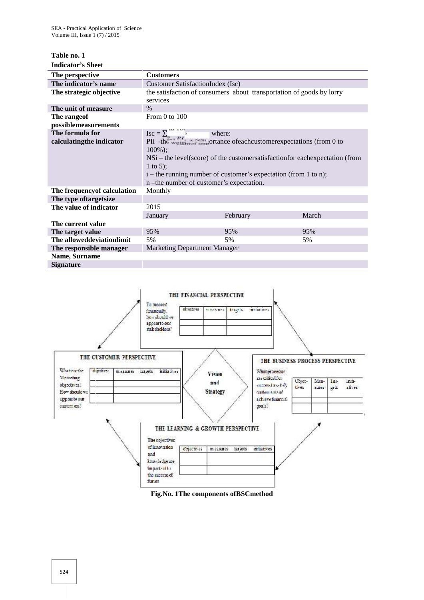# **Table no. 1 Indicator's Sheet**

| The perspective                              | <b>Customers</b>                                                                                                                                                                                                                                                                                                                                        |          |       |
|----------------------------------------------|---------------------------------------------------------------------------------------------------------------------------------------------------------------------------------------------------------------------------------------------------------------------------------------------------------------------------------------------------------|----------|-------|
| The indicator's name                         | Customer SatisfactionIndex (Isc)                                                                                                                                                                                                                                                                                                                        |          |       |
| The strategic objective                      | the satisfaction of consumers about transportation of goods by lorry<br>services                                                                                                                                                                                                                                                                        |          |       |
| The unit of measure                          | $\%$                                                                                                                                                                                                                                                                                                                                                    |          |       |
| The range of                                 | From $0$ to $100$                                                                                                                                                                                                                                                                                                                                       |          |       |
| possiblemeasurements                         |                                                                                                                                                                                                                                                                                                                                                         |          |       |
| The formula for<br>calculating the indicator | $\text{Isc} = \sum_{i=1}^{100} \sum_{i=1}^{100}$<br>PIi -the verigins in portance of each customer expectations (from 0 to<br>$100\%$ ;<br>$NSi$ – the level(score) of the customersatisfaction for each expectation (from<br>1 to 5);<br>$i$ – the running number of customer's expectation (from 1 to n);<br>n -the number of customer's expectation. |          |       |
| The frequency of calculation                 | Monthly                                                                                                                                                                                                                                                                                                                                                 |          |       |
| The type of targetsize                       |                                                                                                                                                                                                                                                                                                                                                         |          |       |
| The value of indicator                       | 2015                                                                                                                                                                                                                                                                                                                                                    |          |       |
|                                              | January                                                                                                                                                                                                                                                                                                                                                 | February | March |
| The current value                            |                                                                                                                                                                                                                                                                                                                                                         |          |       |
| The target value                             | 95%                                                                                                                                                                                                                                                                                                                                                     | 95%      | 95%   |
| The alloweddeviationlimit                    | 5%                                                                                                                                                                                                                                                                                                                                                      | 5%       | 5%    |
| The responsible manager                      | <b>Marketing Department Manager</b>                                                                                                                                                                                                                                                                                                                     |          |       |
| Name, Surname                                |                                                                                                                                                                                                                                                                                                                                                         |          |       |
| <b>Signature</b>                             |                                                                                                                                                                                                                                                                                                                                                         |          |       |



**Fig.No. 1The components ofBSCmethod**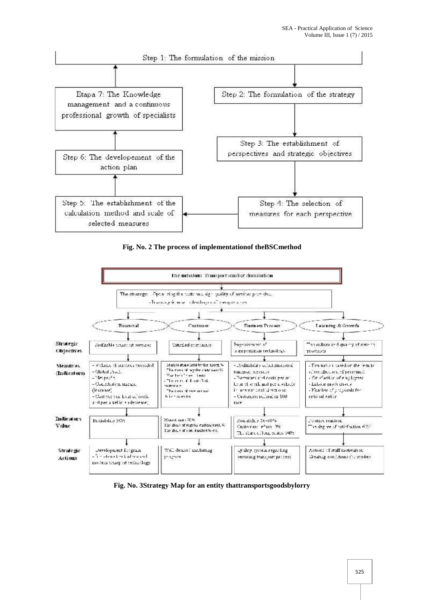

**Fig. No. 2 The process of implementationof theBSCmethod**



**Fig. No. 3Strategy Map for an entity thattransportsgoodsbylorry**